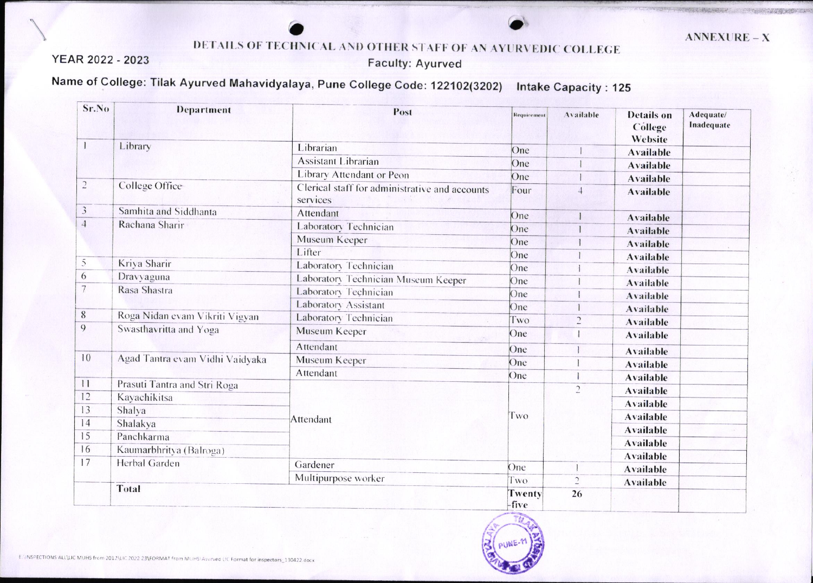THE PERSON REPORT OF PROPERTY.

## DETAILS OF TECHNICAL AND OTHER STAFF OF AN AYURVEDIC COLLEGE

YEAR 2022 - 2023

**Faculty: Ayurved** 

Name of College: Tilak Ayurved Mahavidyalaya, Pune College Code: 122102(3202) Intake Capacity: 125

| Sr.No            | Department                      | Post                                                       | Requirement       | Available      | <b>Details</b> on<br>Cóllege<br>Website | Adequate/<br>Inadequate |
|------------------|---------------------------------|------------------------------------------------------------|-------------------|----------------|-----------------------------------------|-------------------------|
|                  | Library                         | Librarian                                                  | One               |                | <b>Available</b>                        |                         |
|                  |                                 | <b>Assistant Librarian</b>                                 | One               |                | <b>Available</b>                        |                         |
|                  |                                 | Library Attendant or Peon                                  | One               |                | <b>Available</b>                        |                         |
| $\sqrt{2}$       | College Office                  | Clerical staff for administrative and accounts<br>services | Four              | $\overline{4}$ | <b>Available</b>                        |                         |
| 3                | Samhita and Siddhanta           | Attendant                                                  | One               |                | <b>Available</b>                        |                         |
| $\overline{4}$   | Rachana Sharir                  | Laboratory Technician                                      | One               |                | <b>Available</b>                        |                         |
|                  |                                 | Museum Keeper                                              | One               |                | <b>Available</b>                        |                         |
|                  |                                 | Lifter                                                     | One               |                | <b>Available</b>                        |                         |
| 5                | Kriya Sharir                    | Laboratory Technician                                      | One               |                | <b>Available</b>                        |                         |
| 6                | Dravyaguna                      | Laboratory Technician Museum Keeper                        | One               |                | <b>Available</b>                        |                         |
| 7                | Rasa Shastra                    | Laboratory Technician                                      | One               |                | <b>Available</b>                        |                         |
|                  |                                 | Laboratory Assistant                                       | One               |                | <b>Available</b>                        |                         |
| $\boldsymbol{8}$ | Roga Nidan evam Vikriti Vigyan  | Laboratory Technician                                      | Two               | $\overline{2}$ | <b>Available</b>                        |                         |
| $\boldsymbol{9}$ | Swasthavritta and Yoga          | Museum Keeper                                              | One               |                | <b>Available</b>                        |                         |
|                  |                                 | Attendant                                                  | One               |                |                                         |                         |
| 10               | Agad Tantra evam Vidhi Vaidyaka | Museum Keeper                                              | One               |                | <b>Available</b>                        |                         |
|                  |                                 | Attendant                                                  | One               |                | <b>Available</b>                        |                         |
| 1                | Prasuti Tantra and Stri Roga    |                                                            |                   | $\overline{c}$ | <b>Available</b>                        |                         |
| 12               | Kayachikitsa                    |                                                            | Two               |                | <b>Available</b>                        |                         |
| 13               | Shalya                          |                                                            |                   |                | <b>Available</b>                        |                         |
| 14               | Shalakya                        | Attendant                                                  |                   |                | <b>Available</b>                        |                         |
| 15               | Panchkarma                      |                                                            |                   |                | <b>Available</b>                        |                         |
| 16               | Kaumarbhritya (Balroga)         |                                                            |                   |                | <b>Available</b>                        |                         |
| 17               | Herbal Garden                   | Gardener                                                   | One               | $\mathbf{I}$   | <b>Available</b>                        |                         |
|                  |                                 | Multipurpose worker                                        |                   |                | Available                               |                         |
|                  | Total                           |                                                            | Two               | $\overline{c}$ | <b>Available</b>                        |                         |
|                  |                                 |                                                            | Twenty<br>$fiv$ e | 26             |                                         |                         |